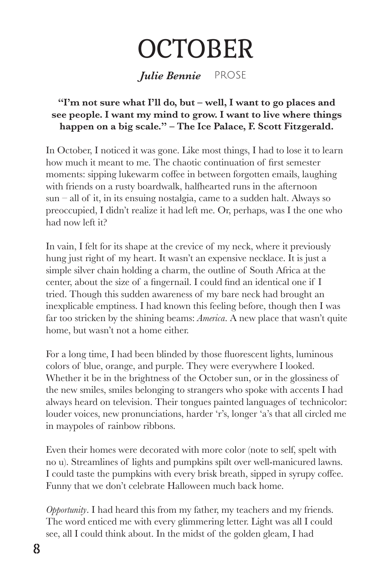## **OCTOBER**

*Julie Bennie* PROSE

## **"I'm not sure what I'll do, but – well, I want to go places and see people. I want my mind to grow. I want to live where things happen on a big scale." – The Ice Palace, F. Scott Fitzgerald.**

In October, I noticed it was gone. Like most things, I had to lose it to learn how much it meant to me. The chaotic continuation of first semester moments: sipping lukewarm coffee in between forgotten emails, laughing with friends on a rusty boardwalk, halfhearted runs in the afternoon  $sun - all of it, in its ensuing notalgia, came to a sudden halt. Always so$ preoccupied, I didn't realize it had left me. Or, perhaps, was I the one who had now left it?

In vain, I felt for its shape at the crevice of my neck, where it previously hung just right of my heart. It wasn't an expensive necklace. It is just a simple silver chain holding a charm, the outline of South Africa at the center, about the size of a fingernail. I could find an identical one if I tried. Though this sudden awareness of my bare neck had brought an inexplicable emptiness. I had known this feeling before, though then I was far too stricken by the shining beams: *America*. A new place that wasn't quite home, but wasn't not a home either.

For a long time, I had been blinded by those fluorescent lights, luminous colors of blue, orange, and purple. They were everywhere I looked. Whether it be in the brightness of the October sun, or in the glossiness of the new smiles, smiles belonging to strangers who spoke with accents I had always heard on television. Their tongues painted languages of technicolor: louder voices, new pronunciations, harder 'r's, longer 'a's that all circled me in maypoles of rainbow ribbons.

Even their homes were decorated with more color (note to self, spelt with no u). Streamlines of lights and pumpkins spilt over well-manicured lawns. I could taste the pumpkins with every brisk breath, sipped in syrupy coffee. Funny that we don't celebrate Halloween much back home.

*Opportunity*. I had heard this from my father, my teachers and my friends. The word enticed me with every glimmering letter. Light was all I could see, all I could think about. In the midst of the golden gleam, I had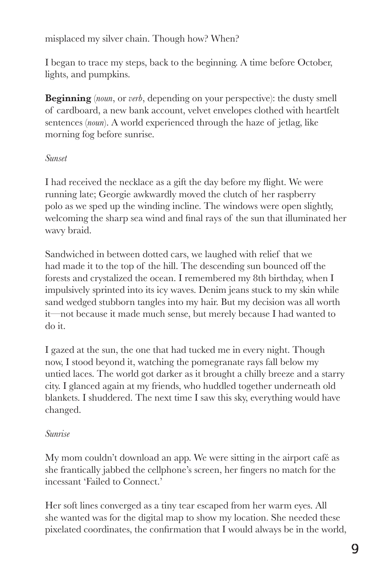misplaced my silver chain. Though how? When?

I began to trace my steps, back to the beginning. A time before October, lights, and pumpkins.

**Beginning** (*noun*, or *verb*, depending on your perspective): the dusty smell of cardboard, a new bank account, velvet envelopes clothed with heartfelt sentences (*noun*). A world experienced through the haze of jetlag, like morning fog before sunrise.

## *Sunset*

I had received the necklace as a gift the day before my flight. We were running late; Georgie awkwardly moved the clutch of her raspberry polo as we sped up the winding incline. The windows were open slightly, welcoming the sharp sea wind and final rays of the sun that illuminated her wavy braid.

Sandwiched in between dotted cars, we laughed with relief that we had made it to the top of the hill. The descending sun bounced off the forests and crystalized the ocean. I remembered my 8th birthday, when I impulsively sprinted into its icy waves. Denim jeans stuck to my skin while sand wedged stubborn tangles into my hair. But my decision was all worth it—not because it made much sense, but merely because I had wanted to do it.

I gazed at the sun, the one that had tucked me in every night. Though now, I stood beyond it, watching the pomegranate rays fall below my untied laces. The world got darker as it brought a chilly breeze and a starry city. I glanced again at my friends, who huddled together underneath old blankets. I shuddered. The next time I saw this sky, everything would have changed.

## *Sunrise*

My mom couldn't download an app. We were sitting in the airport café as she frantically jabbed the cellphone's screen, her fingers no match for the incessant 'Failed to Connect.'

Her soft lines converged as a tiny tear escaped from her warm eyes. All she wanted was for the digital map to show my location. She needed these pixelated coordinates, the confirmation that I would always be in the world,